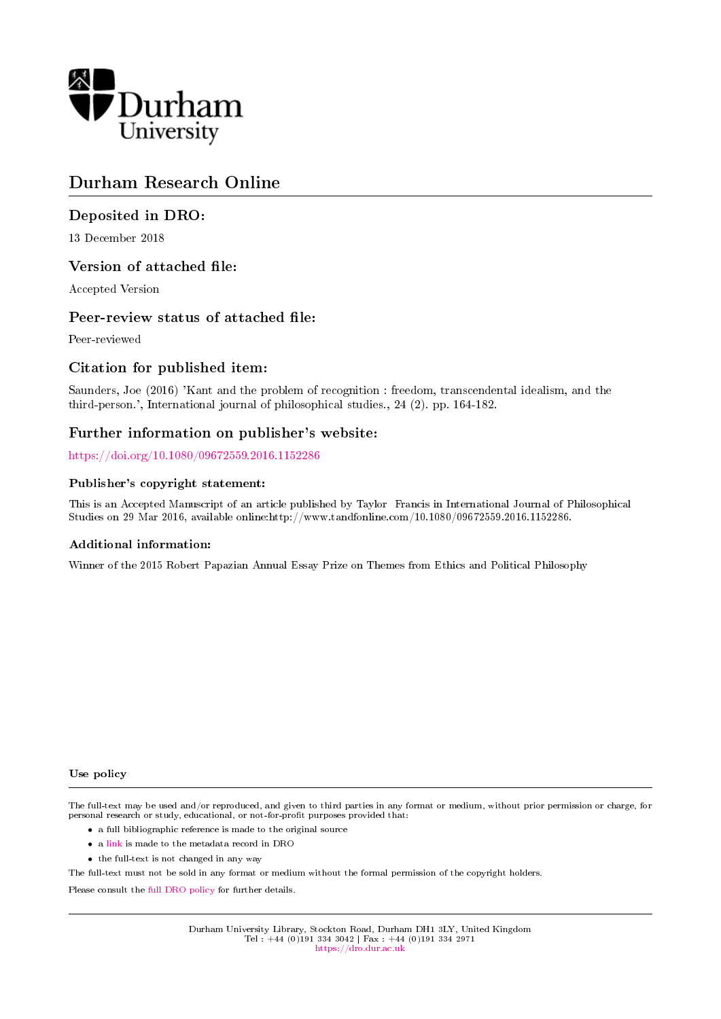

# Durham Research Online

## Deposited in DRO:

13 December 2018

### Version of attached file:

Accepted Version

#### Peer-review status of attached file:

Peer-reviewed

### Citation for published item:

Saunders, Joe (2016) 'Kant and the problem of recognition : freedom, transcendental idealism, and the third-person.', International journal of philosophical studies., 24 (2). pp. 164-182.

### Further information on publisher's website:

<https://doi.org/10.1080/09672559.2016.1152286>

#### Publisher's copyright statement:

This is an Accepted Manuscript of an article published by Taylor Francis in International Journal of Philosophical Studies on 29 Mar 2016, available online:http://www.tandfonline.com/10.1080/09672559.2016.1152286.

#### Additional information:

Winner of the 2015 Robert Papazian Annual Essay Prize on Themes from Ethics and Political Philosophy

#### Use policy

The full-text may be used and/or reproduced, and given to third parties in any format or medium, without prior permission or charge, for personal research or study, educational, or not-for-profit purposes provided that:

- a full bibliographic reference is made to the original source
- a [link](http://dro.dur.ac.uk/26991/) is made to the metadata record in DRO
- the full-text is not changed in any way

The full-text must not be sold in any format or medium without the formal permission of the copyright holders.

Please consult the [full DRO policy](https://dro.dur.ac.uk/policies/usepolicy.pdf) for further details.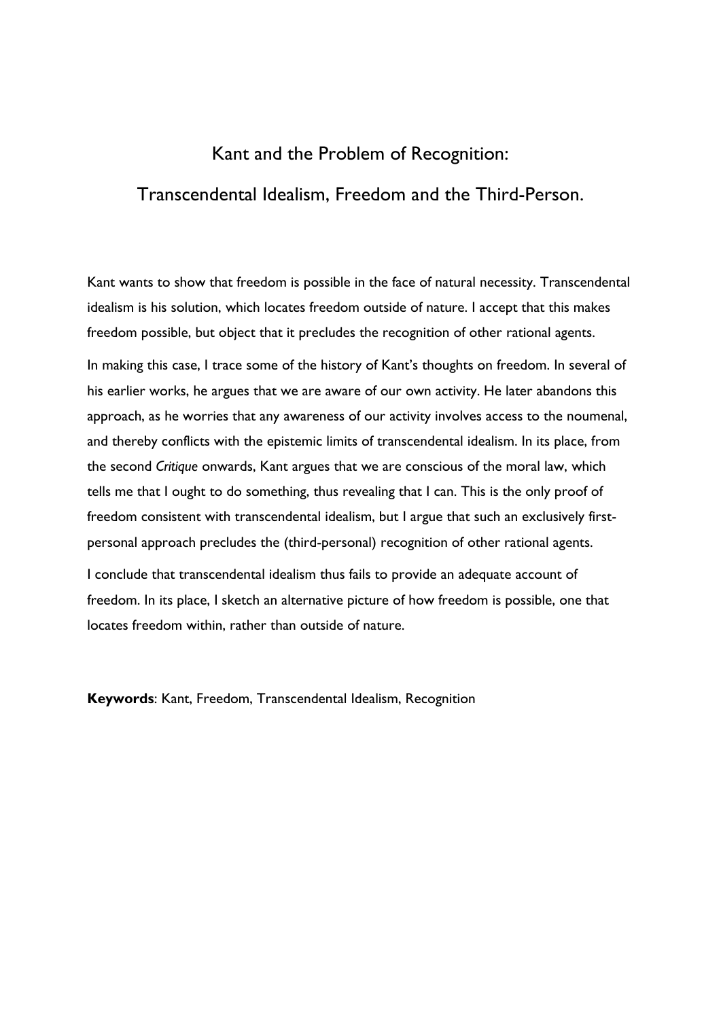# Kant and the Problem of Recognition: Transcendental Idealism, Freedom and the Third-Person.

Kant wants to show that freedom is possible in the face of natural necessity. Transcendental idealism is his solution, which locates freedom outside of nature. I accept that this makes freedom possible, but object that it precludes the recognition of other rational agents.

In making this case, I trace some of the history of Kant's thoughts on freedom. In several of his earlier works, he argues that we are aware of our own activity. He later abandons this approach, as he worries that any awareness of our activity involves access to the noumenal, and thereby conflicts with the epistemic limits of transcendental idealism. In its place, from the second *Critique* onwards, Kant argues that we are conscious of the moral law, which tells me that I ought to do something, thus revealing that I can. This is the only proof of freedom consistent with transcendental idealism, but I argue that such an exclusively firstpersonal approach precludes the (third-personal) recognition of other rational agents.

I conclude that transcendental idealism thus fails to provide an adequate account of freedom. In its place, I sketch an alternative picture of how freedom is possible, one that locates freedom within, rather than outside of nature.

**Keywords**: Kant, Freedom, Transcendental Idealism, Recognition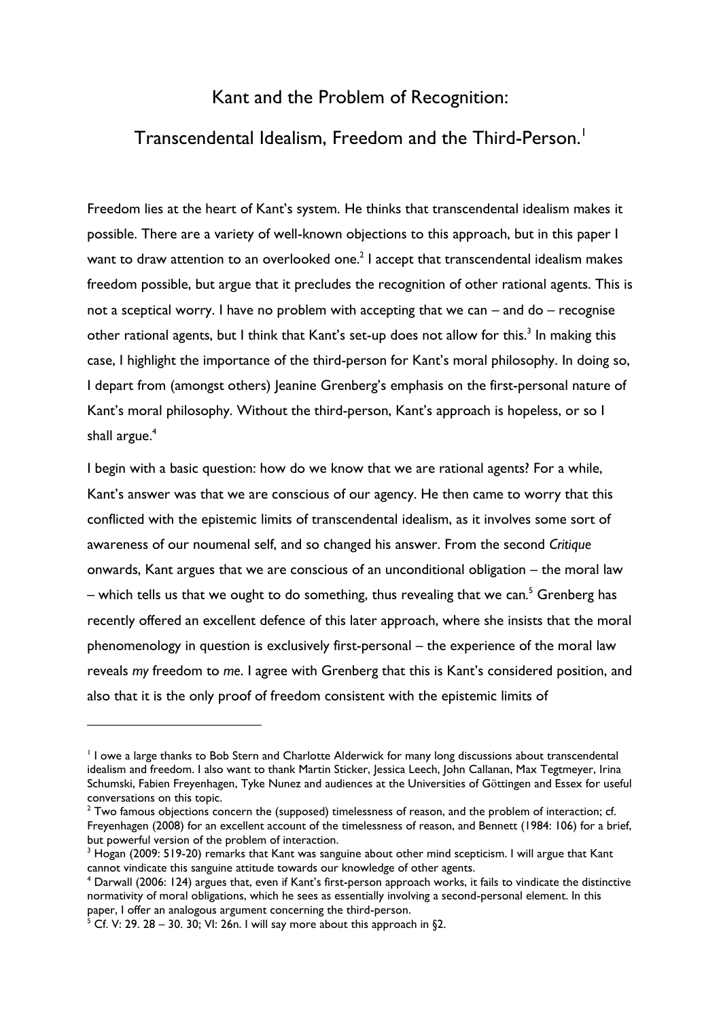# Kant and the Problem of Recognition:

# Transcendental Idealism, Freedom and the Third-Person.<sup>1</sup>

Freedom lies at the heart of Kant's system. He thinks that transcendental idealism makes it possible. There are a variety of well-known objections to this approach, but in this paper I want to draw attention to an overlooked one.<sup>2</sup> I accept that transcendental idealism makes freedom possible, but argue that it precludes the recognition of other rational agents. This is not a sceptical worry. I have no problem with accepting that we can – and do – recognise other rational agents, but I think that Kant's set-up does not allow for this.<sup>3</sup> In making this case, I highlight the importance of the third-person for Kant's moral philosophy. In doing so, I depart from (amongst others) Jeanine Grenberg's emphasis on the first-personal nature of Kant's moral philosophy. Without the third-person, Kant's approach is hopeless, or so I shall argue.<sup>4</sup>

I begin with a basic question: how do we know that we are rational agents? For a while, Kant's answer was that we are conscious of our agency. He then came to worry that this conflicted with the epistemic limits of transcendental idealism, as it involves some sort of awareness of our noumenal self, and so changed his answer. From the second *Critique* onwards, Kant argues that we are conscious of an unconditional obligation – the moral law – which tells us that we ought to do something, thus revealing that we can*.* <sup>5</sup> Grenberg has recently offered an excellent defence of this later approach, where she insists that the moral phenomenology in question is exclusively first-personal – the experience of the moral law reveals *my* freedom to *me*. I agree with Grenberg that this is Kant's considered position, and also that it is the only proof of freedom consistent with the epistemic limits of

<sup>&</sup>lt;sup>1</sup> I owe a large thanks to Bob Stern and Charlotte Alderwick for many long discussions about transcendental idealism and freedom. I also want to thank Martin Sticker, Jessica Leech, John Callanan, Max Tegtmeyer, Irina Schumski, Fabien Freyenhagen, Tyke Nunez and audiences at the Universities of Gӧttingen and Essex for useful conversations on this topic.

 $2$  Two famous objections concern the (supposed) timelessness of reason, and the problem of interaction; cf. Freyenhagen (2008) for an excellent account of the timelessness of reason, and Bennett (1984: 106) for a brief, but powerful version of the problem of interaction.

<sup>&</sup>lt;sup>3</sup> Hogan (2009: 519-20) remarks that Kant was sanguine about other mind scepticism. I will argue that Kant cannot vindicate this sanguine attitude towards our knowledge of other agents.

<sup>4</sup> Darwall (2006: 124) argues that, even if Kant's first-person approach works, it fails to vindicate the distinctive normativity of moral obligations, which he sees as essentially involving a second-personal element. In this paper, I offer an analogous argument concerning the third-person.

 $5$  Cf. V: 29. 28 – 30. 30; VI: 26n. I will say more about this approach in §2.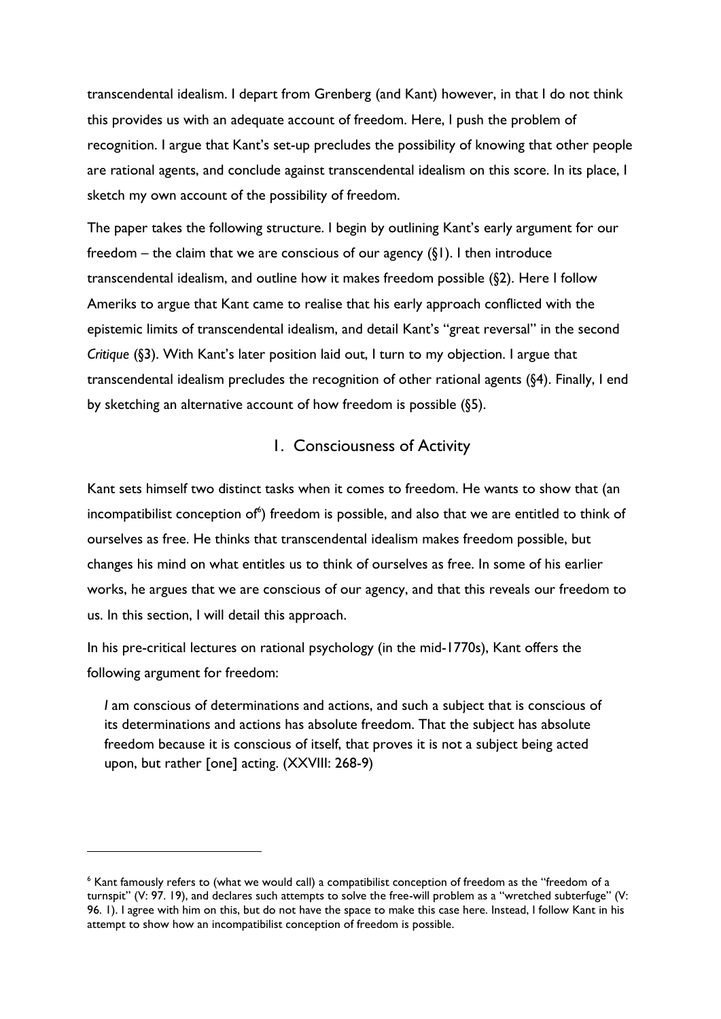transcendental idealism. I depart from Grenberg (and Kant) however, in that I do not think this provides us with an adequate account of freedom. Here, I push the problem of recognition. I argue that Kant's set-up precludes the possibility of knowing that other people are rational agents, and conclude against transcendental idealism on this score. In its place, I sketch my own account of the possibility of freedom.

The paper takes the following structure. I begin by outlining Kant's early argument for our freedom – the claim that we are conscious of our agency  $(\S1)$ . I then introduce transcendental idealism, and outline how it makes freedom possible (§2). Here I follow Ameriks to argue that Kant came to realise that his early approach conflicted with the epistemic limits of transcendental idealism, and detail Kant's "great reversal" in the second *Critique* (§3). With Kant's later position laid out, I turn to my objection. I argue that transcendental idealism precludes the recognition of other rational agents (§4). Finally, I end by sketching an alternative account of how freedom is possible (§5).

# 1. Consciousness of Activity

Kant sets himself two distinct tasks when it comes to freedom. He wants to show that (an incompatibilist conception of<sup>6</sup>) freedom is possible, and also that we are entitled to think of ourselves as free. He thinks that transcendental idealism makes freedom possible, but changes his mind on what entitles us to think of ourselves as free. In some of his earlier works, he argues that we are conscious of our agency, and that this reveals our freedom to us. In this section, I will detail this approach.

In his pre-critical lectures on rational psychology (in the mid-1770s), Kant offers the following argument for freedom:

*I* am conscious of determinations and actions, and such a subject that is conscious of its determinations and actions has absolute freedom. That the subject has absolute freedom because it is conscious of itself, that proves it is not a subject being acted upon, but rather [one] acting. (XXVIII: 268-9)

<sup>&</sup>lt;sup>6</sup> Kant famously refers to (what we would call) a compatibilist conception of freedom as the "freedom of a turnspit" (V: 97. 19), and declares such attempts to solve the free-will problem as a "wretched subterfuge" (V: 96. 1). I agree with him on this, but do not have the space to make this case here. Instead, I follow Kant in his attempt to show how an incompatibilist conception of freedom is possible.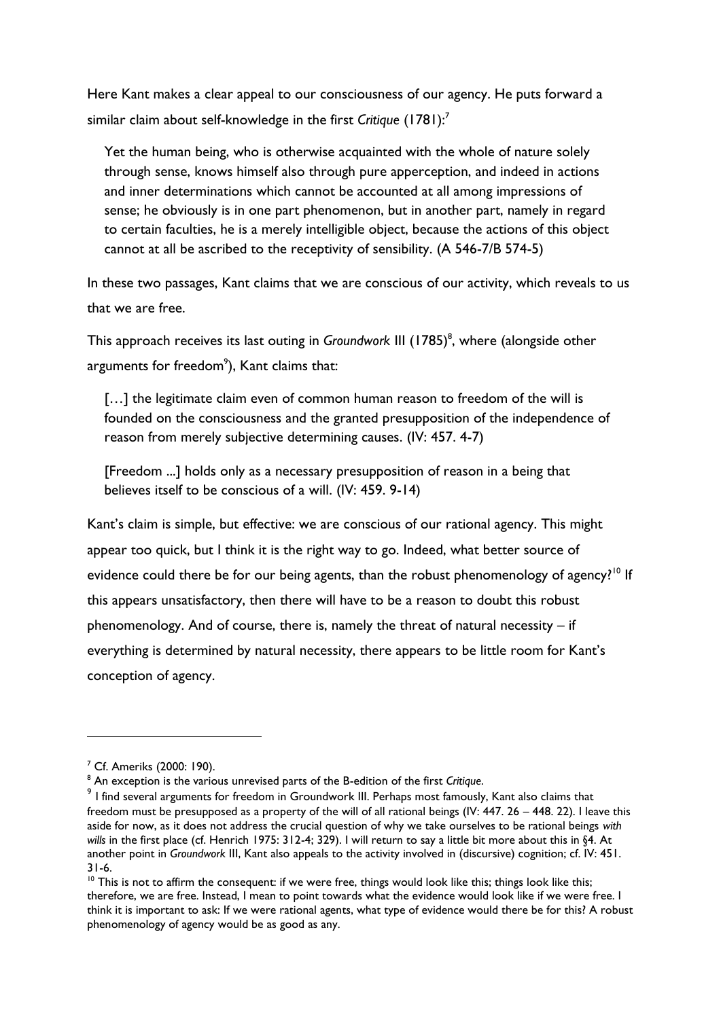Here Kant makes a clear appeal to our consciousness of our agency. He puts forward a similar claim about self-knowledge in the first *Critique* (1781): 7

Yet the human being, who is otherwise acquainted with the whole of nature solely through sense, knows himself also through pure apperception, and indeed in actions and inner determinations which cannot be accounted at all among impressions of sense; he obviously is in one part phenomenon, but in another part, namely in regard to certain faculties, he is a merely intelligible object, because the actions of this object cannot at all be ascribed to the receptivity of sensibility. (A 546-7/B 574-5)

In these two passages, Kant claims that we are conscious of our activity, which reveals to us that we are free.

This approach receives its last outing in *Groundwork III* (1785)<sup>8</sup>, where (alongside other arguments for freedom<sup>9</sup>), Kant claims that:

[...] the legitimate claim even of common human reason to freedom of the will is founded on the consciousness and the granted presupposition of the independence of reason from merely subjective determining causes. (IV: 457. 4-7)

[Freedom ...] holds only as a necessary presupposition of reason in a being that believes itself to be conscious of a will. (IV: 459. 9-14)

Kant's claim is simple, but effective: we are conscious of our rational agency. This might appear too quick, but I think it is the right way to go. Indeed, what better source of evidence could there be for our being agents, than the robust phenomenology of agency?<sup>10</sup> If this appears unsatisfactory, then there will have to be a reason to doubt this robust phenomenology. And of course, there is, namely the threat of natural necessity – if everything is determined by natural necessity, there appears to be little room for Kant's conception of agency.

<sup>7</sup> Cf. Ameriks (2000: 190).

<sup>8</sup> An exception is the various unrevised parts of the B-edition of the first *Critique*.

 $^9$  I find several arguments for freedom in Groundwork III. Perhaps most famously, Kant also claims that freedom must be presupposed as a property of the will of all rational beings (IV: 447. 26 – 448. 22). I leave this aside for now, as it does not address the crucial question of why we take ourselves to be rational beings *with wills* in the first place (cf. Henrich 1975: 312-4; 329). I will return to say a little bit more about this in §4. At another point in *Groundwork* III, Kant also appeals to the activity involved in (discursive) cognition; cf. IV: 451. 31-6.

 $10$  This is not to affirm the consequent: if we were free, things would look like this; things look like this; therefore, we are free. Instead, I mean to point towards what the evidence would look like if we were free. I think it is important to ask: If we were rational agents, what type of evidence would there be for this? A robust phenomenology of agency would be as good as any.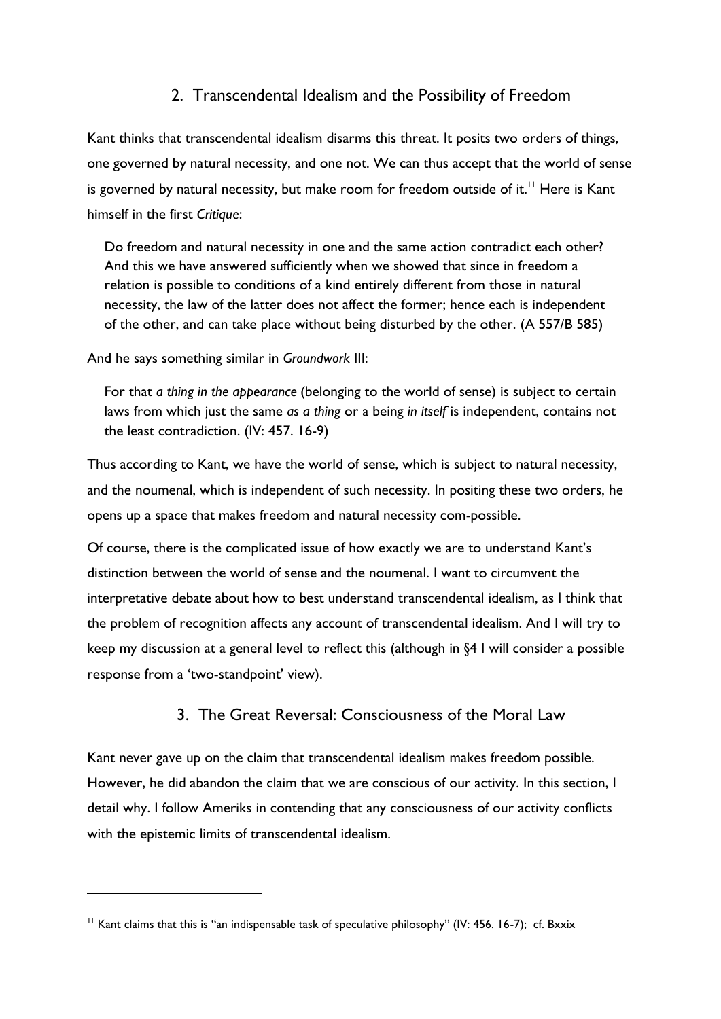# 2. Transcendental Idealism and the Possibility of Freedom

Kant thinks that transcendental idealism disarms this threat. It posits two orders of things, one governed by natural necessity, and one not. We can thus accept that the world of sense is governed by natural necessity, but make room for freedom outside of it.<sup>11</sup> Here is Kant himself in the first *Critique*:

Do freedom and natural necessity in one and the same action contradict each other? And this we have answered sufficiently when we showed that since in freedom a relation is possible to conditions of a kind entirely different from those in natural necessity, the law of the latter does not affect the former; hence each is independent of the other, and can take place without being disturbed by the other. (A 557/B 585)

And he says something similar in *Groundwork* III:

<u>.</u>

For that *a thing in the appearance* (belonging to the world of sense) is subject to certain laws from which just the same *as a thing* or a being *in itself* is independent, contains not the least contradiction. (IV: 457. 16-9)

Thus according to Kant, we have the world of sense, which is subject to natural necessity, and the noumenal, which is independent of such necessity. In positing these two orders, he opens up a space that makes freedom and natural necessity com-possible.

Of course, there is the complicated issue of how exactly we are to understand Kant's distinction between the world of sense and the noumenal. I want to circumvent the interpretative debate about how to best understand transcendental idealism, as I think that the problem of recognition affects any account of transcendental idealism. And I will try to keep my discussion at a general level to reflect this (although in §4 I will consider a possible response from a 'two-standpoint' view).

# 3. The Great Reversal: Consciousness of the Moral Law

Kant never gave up on the claim that transcendental idealism makes freedom possible. However, he did abandon the claim that we are conscious of our activity. In this section, I detail why. I follow Ameriks in contending that any consciousness of our activity conflicts with the epistemic limits of transcendental idealism.

<sup>&</sup>lt;sup>11</sup> Kant claims that this is "an indispensable task of speculative philosophy" (IV: 456. 16-7); cf. Bxxix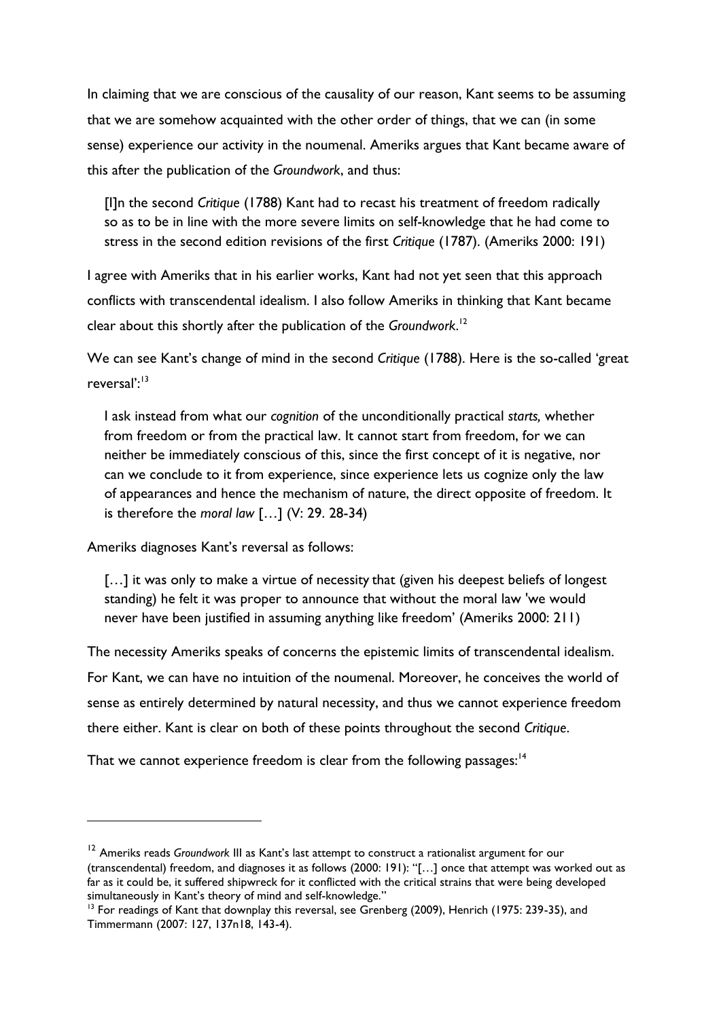In claiming that we are conscious of the causality of our reason, Kant seems to be assuming that we are somehow acquainted with the other order of things, that we can (in some sense) experience our activity in the noumenal. Ameriks argues that Kant became aware of this after the publication of the *Groundwork*, and thus:

[I]n the second *Critique* (1788) Kant had to recast his treatment of freedom radically so as to be in line with the more severe limits on self-knowledge that he had come to stress in the second edition revisions of the first *Critique* (1787). (Ameriks 2000: 191)

I agree with Ameriks that in his earlier works, Kant had not yet seen that this approach conflicts with transcendental idealism. I also follow Ameriks in thinking that Kant became clear about this shortly after the publication of the *Groundwork*. 12

We can see Kant's change of mind in the second *Critique* (1788). Here is the so-called 'great reversal':<sup>13</sup>

I ask instead from what our *cognition* of the unconditionally practical *starts,* whether from freedom or from the practical law. It cannot start from freedom, for we can neither be immediately conscious of this, since the first concept of it is negative, nor can we conclude to it from experience, since experience lets us cognize only the law of appearances and hence the mechanism of nature, the direct opposite of freedom. It is therefore the *moral law* […] (V: 29. 28-34)

Ameriks diagnoses Kant's reversal as follows:

<u>.</u>

[...] it was only to make a virtue of necessity that (given his deepest beliefs of longest standing) he felt it was proper to announce that without the moral law 'we would never have been justified in assuming anything like freedom' (Ameriks 2000: 211)

The necessity Ameriks speaks of concerns the epistemic limits of transcendental idealism. For Kant, we can have no intuition of the noumenal. Moreover, he conceives the world of sense as entirely determined by natural necessity, and thus we cannot experience freedom there either. Kant is clear on both of these points throughout the second *Critique*.

That we cannot experience freedom is clear from the following passages:<sup>14</sup>

<sup>&</sup>lt;sup>12</sup> Ameriks reads *Groundwork* III as Kant's last attempt to construct a rationalist argument for our (transcendental) freedom, and diagnoses it as follows (2000: 191): "[…] once that attempt was worked out as far as it could be, it suffered shipwreck for it conflicted with the critical strains that were being developed simultaneously in Kant's theory of mind and self-knowledge."

<sup>&</sup>lt;sup>13</sup> For readings of Kant that downplay this reversal, see Grenberg (2009), Henrich (1975: 239-35), and Timmermann (2007: 127, 137n18, 143-4).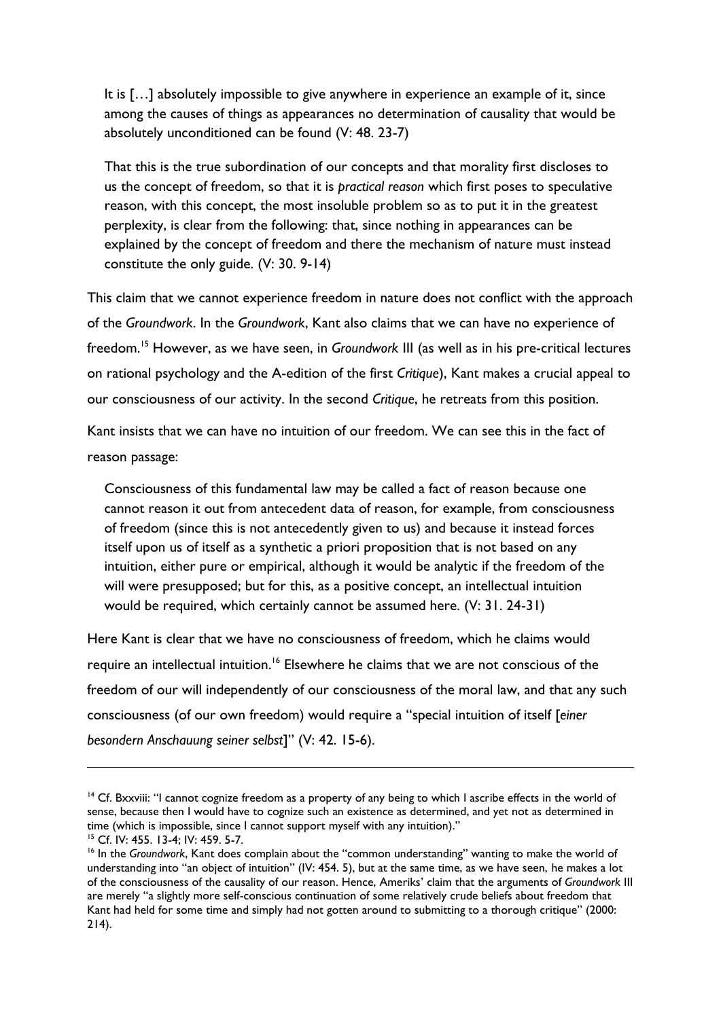It is [...] absolutely impossible to give anywhere in experience an example of it, since among the causes of things as appearances no determination of causality that would be absolutely unconditioned can be found (V: 48. 23-7)

That this is the true subordination of our concepts and that morality first discloses to us the concept of freedom, so that it is *practical reason* which first poses to speculative reason, with this concept, the most insoluble problem so as to put it in the greatest perplexity, is clear from the following: that, since nothing in appearances can be explained by the concept of freedom and there the mechanism of nature must instead constitute the only guide. (V: 30. 9-14)

This claim that we cannot experience freedom in nature does not conflict with the approach of the *Groundwork*. In the *Groundwork*, Kant also claims that we can have no experience of freedom.<sup>15</sup> However, as we have seen, in *Groundwork* III (as well as in his pre-critical lectures on rational psychology and the A-edition of the first *Critique*), Kant makes a crucial appeal to our consciousness of our activity. In the second *Critique*, he retreats from this position.

Kant insists that we can have no intuition of our freedom. We can see this in the fact of reason passage:

Consciousness of this fundamental law may be called a fact of reason because one cannot reason it out from antecedent data of reason, for example, from consciousness of freedom (since this is not antecedently given to us) and because it instead forces itself upon us of itself as a synthetic a priori proposition that is not based on any intuition, either pure or empirical, although it would be analytic if the freedom of the will were presupposed; but for this, as a positive concept, an intellectual intuition would be required, which certainly cannot be assumed here. (V: 31. 24-31)

Here Kant is clear that we have no consciousness of freedom, which he claims would require an intellectual intuition.<sup>16</sup> Elsewhere he claims that we are not conscious of the freedom of our will independently of our consciousness of the moral law, and that any such consciousness (of our own freedom) would require a "special intuition of itself [*einer besondern Anschauung seiner selbst*]" (V: 42. 15-6).

<sup>&</sup>lt;sup>14</sup> Cf. Bxxviii: "I cannot cognize freedom as a property of any being to which I ascribe effects in the world of sense, because then I would have to cognize such an existence as determined, and yet not as determined in time (which is impossible, since I cannot support myself with any intuition)."

<sup>&</sup>lt;sup>15</sup> Cf. IV: 455. 13-4; IV: 459. 5-7.

<sup>&</sup>lt;sup>16</sup> In the *Groundwork*, Kant does complain about the "common understanding" wanting to make the world of understanding into "an object of intuition" (IV: 454. 5), but at the same time, as we have seen, he makes a lot of the consciousness of the causality of our reason. Hence, Ameriks' claim that the arguments of *Groundwork* III are merely "a slightly more self-conscious continuation of some relatively crude beliefs about freedom that Kant had held for some time and simply had not gotten around to submitting to a thorough critique" (2000:  $214$ ).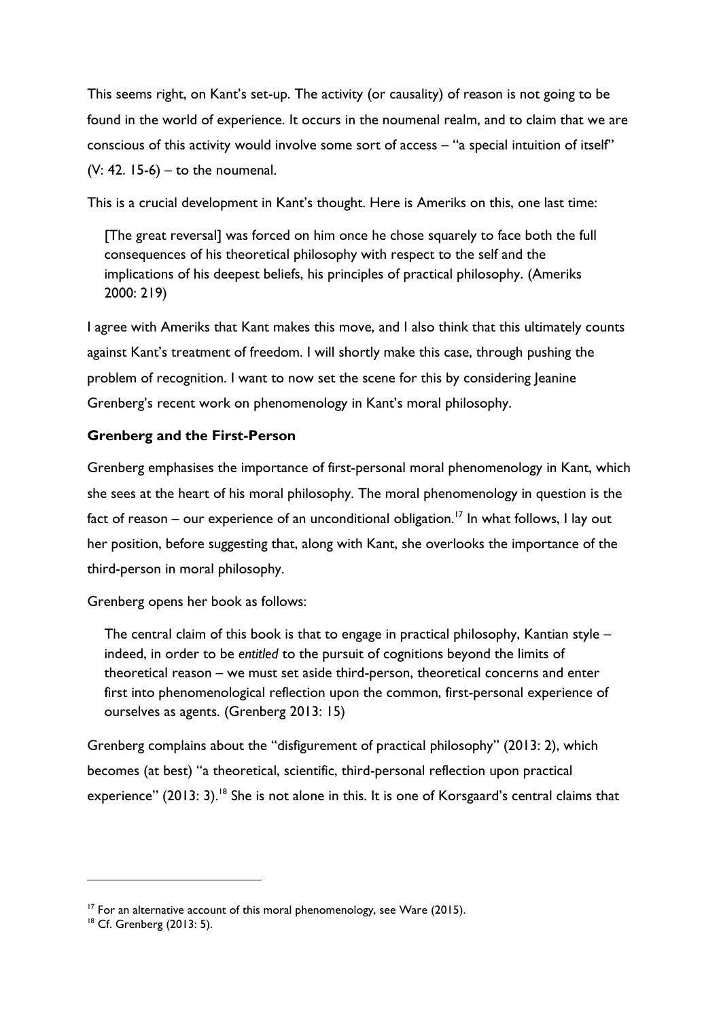This seems right, on Kant's set-up. The activity (or causality) of reason is not going to be found in the world of experience. It occurs in the noumenal realm, and to claim that we are conscious of this activity would involve some sort of access – "a special intuition of itself"  $(V: 42. 15-6) -$  to the noumenal.

This is a crucial development in Kant's thought. Here is Ameriks on this, one last time:

[The great reversal] was forced on him once he chose squarely to face both the full consequences of his theoretical philosophy with respect to the self and the implications of his deepest beliefs, his principles of practical philosophy. (Ameriks 2000: 219)

I agree with Ameriks that Kant makes this move, and I also think that this ultimately counts against Kant's treatment of freedom. I will shortly make this case, through pushing the problem of recognition. I want to now set the scene for this by considering Jeanine Grenberg's recent work on phenomenology in Kant's moral philosophy.

# **Grenberg and the First-Person**

Grenberg emphasises the importance of first-personal moral phenomenology in Kant, which she sees at the heart of his moral philosophy. The moral phenomenology in question is the fact of reason – our experience of an unconditional obligation.<sup>17</sup> In what follows, I lay out her position, before suggesting that, along with Kant, she overlooks the importance of the third-person in moral philosophy.

Grenberg opens her book as follows:

The central claim of this book is that to engage in practical philosophy, Kantian style – indeed, in order to be *entitled* to the pursuit of cognitions beyond the limits of theoretical reason – we must set aside third-person, theoretical concerns and enter first into phenomenological reflection upon the common, first-personal experience of ourselves as agents. (Grenberg 2013: 15)

Grenberg complains about the "disfigurement of practical philosophy" (2013: 2), which becomes (at best) "a theoretical, scientific, third-personal reflection upon practical experience" (2013: 3).<sup>18</sup> She is not alone in this. It is one of Korsgaard's central claims that

 $17$  For an alternative account of this moral phenomenology, see Ware (2015).

<sup>18</sup> Cf. Grenberg (2013: 5).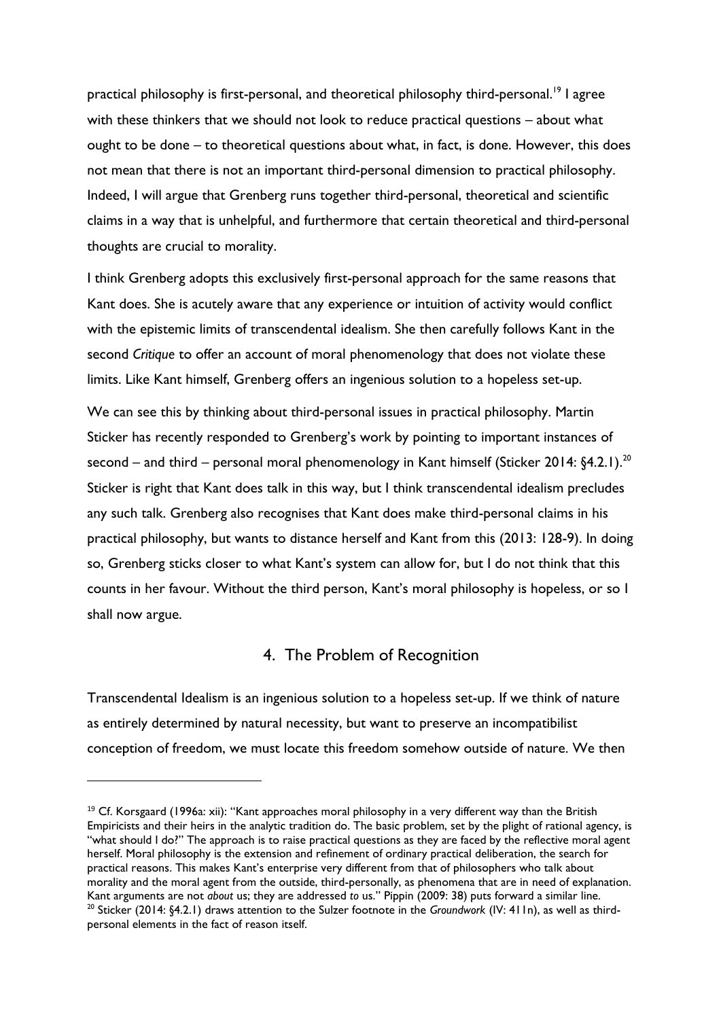practical philosophy is first-personal, and theoretical philosophy third-personal.<sup>19</sup> I agree with these thinkers that we should not look to reduce practical questions – about what ought to be done – to theoretical questions about what, in fact, is done. However, this does not mean that there is not an important third-personal dimension to practical philosophy. Indeed, I will argue that Grenberg runs together third-personal, theoretical and scientific claims in a way that is unhelpful, and furthermore that certain theoretical and third-personal thoughts are crucial to morality.

I think Grenberg adopts this exclusively first-personal approach for the same reasons that Kant does. She is acutely aware that any experience or intuition of activity would conflict with the epistemic limits of transcendental idealism. She then carefully follows Kant in the second *Critique* to offer an account of moral phenomenology that does not violate these limits. Like Kant himself, Grenberg offers an ingenious solution to a hopeless set-up.

We can see this by thinking about third-personal issues in practical philosophy. Martin Sticker has recently responded to Grenberg's work by pointing to important instances of second – and third – personal moral phenomenology in Kant himself (Sticker 2014: §4.2.1).<sup>20</sup> Sticker is right that Kant does talk in this way, but I think transcendental idealism precludes any such talk. Grenberg also recognises that Kant does make third-personal claims in his practical philosophy, but wants to distance herself and Kant from this (2013: 128-9). In doing so, Grenberg sticks closer to what Kant's system can allow for, but I do not think that this counts in her favour. Without the third person, Kant's moral philosophy is hopeless, or so I shall now argue.

# 4. The Problem of Recognition

Transcendental Idealism is an ingenious solution to a hopeless set-up. If we think of nature as entirely determined by natural necessity, but want to preserve an incompatibilist conception of freedom, we must locate this freedom somehow outside of nature. We then

 $19$  Cf. Korsgaard (1996a: xii): "Kant approaches moral philosophy in a very different way than the British Empiricists and their heirs in the analytic tradition do. The basic problem, set by the plight of rational agency, is "what should I do?" The approach is to raise practical questions as they are faced by the reflective moral agent herself. Moral philosophy is the extension and refinement of ordinary practical deliberation, the search for practical reasons. This makes Kant's enterprise very different from that of philosophers who talk about morality and the moral agent from the outside, third-personally, as phenomena that are in need of explanation. Kant arguments are not *about* us; they are addressed *to* us." Pippin (2009: 38) puts forward a similar line. <sup>20</sup> Sticker (2014: §4.2.1) draws attention to the Sulzer footnote in the *Groundwork* (IV: 411n), as well as thirdpersonal elements in the fact of reason itself.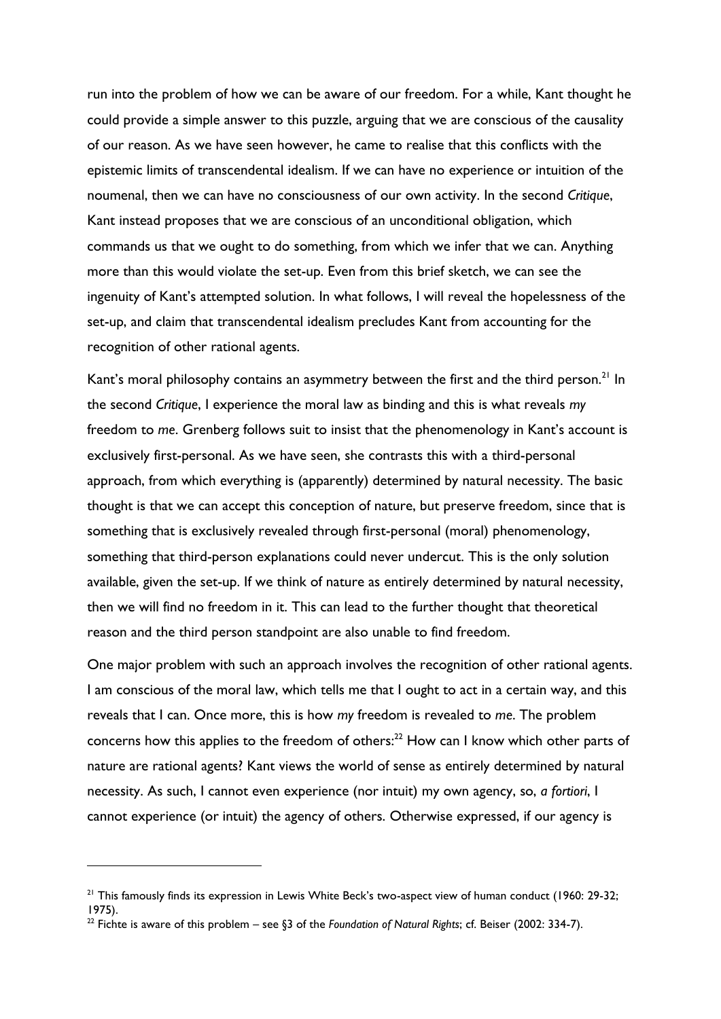run into the problem of how we can be aware of our freedom. For a while, Kant thought he could provide a simple answer to this puzzle, arguing that we are conscious of the causality of our reason. As we have seen however, he came to realise that this conflicts with the epistemic limits of transcendental idealism. If we can have no experience or intuition of the noumenal, then we can have no consciousness of our own activity. In the second *Critique*, Kant instead proposes that we are conscious of an unconditional obligation, which commands us that we ought to do something, from which we infer that we can. Anything more than this would violate the set-up. Even from this brief sketch, we can see the ingenuity of Kant's attempted solution. In what follows, I will reveal the hopelessness of the set-up, and claim that transcendental idealism precludes Kant from accounting for the recognition of other rational agents.

Kant's moral philosophy contains an asymmetry between the first and the third person.<sup>21</sup> In the second *Critique*, I experience the moral law as binding and this is what reveals *my* freedom to *me*. Grenberg follows suit to insist that the phenomenology in Kant's account is exclusively first-personal. As we have seen, she contrasts this with a third-personal approach, from which everything is (apparently) determined by natural necessity. The basic thought is that we can accept this conception of nature, but preserve freedom, since that is something that is exclusively revealed through first-personal (moral) phenomenology, something that third-person explanations could never undercut. This is the only solution available, given the set-up. If we think of nature as entirely determined by natural necessity, then we will find no freedom in it. This can lead to the further thought that theoretical reason and the third person standpoint are also unable to find freedom.

One major problem with such an approach involves the recognition of other rational agents. I am conscious of the moral law, which tells me that I ought to act in a certain way, and this reveals that I can. Once more, this is how *my* freedom is revealed to *me*. The problem concerns how this applies to the freedom of others:<sup>22</sup> How can I know which other parts of nature are rational agents? Kant views the world of sense as entirely determined by natural necessity. As such, I cannot even experience (nor intuit) my own agency, so, *a fortiori*, I cannot experience (or intuit) the agency of others. Otherwise expressed, if our agency is

<sup>&</sup>lt;sup>21</sup> This famously finds its expression in Lewis White Beck's two-aspect view of human conduct (1960: 29-32; 1975).

<sup>22</sup> Fichte is aware of this problem – see §3 of the *Foundation of Natural Rights*; cf. Beiser (2002: 334-7).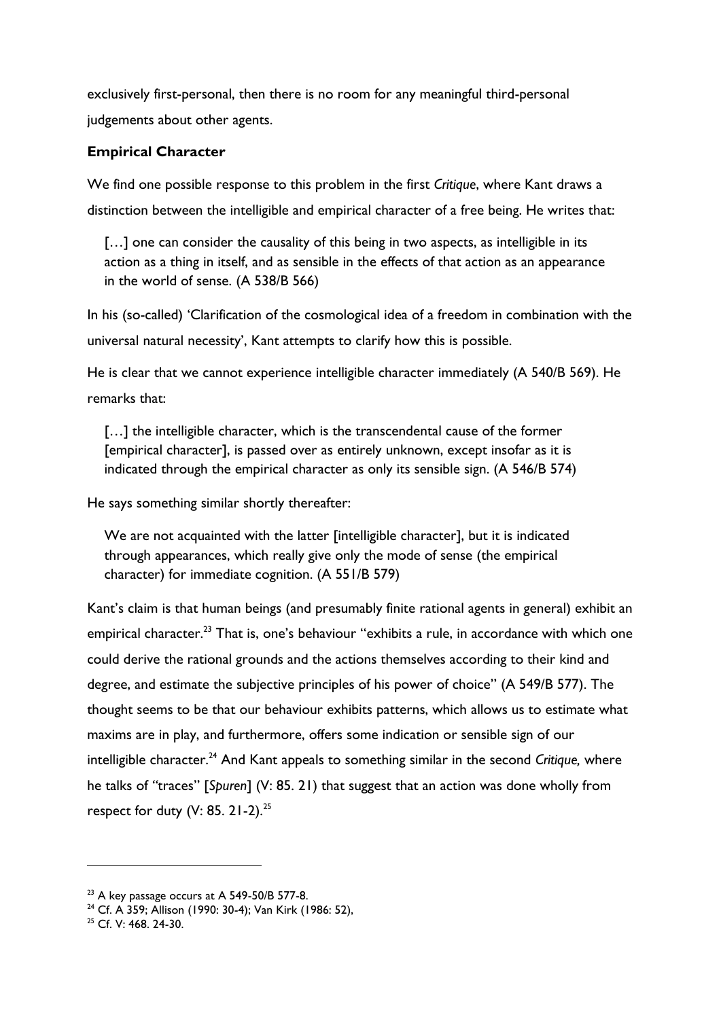exclusively first-personal, then there is no room for any meaningful third-personal judgements about other agents.

# **Empirical Character**

We find one possible response to this problem in the first *Critique*, where Kant draws a distinction between the intelligible and empirical character of a free being. He writes that:

[...] one can consider the causality of this being in two aspects, as intelligible in its action as a thing in itself, and as sensible in the effects of that action as an appearance in the world of sense. (A 538/B 566)

In his (so-called) 'Clarification of the cosmological idea of a freedom in combination with the universal natural necessity', Kant attempts to clarify how this is possible.

He is clear that we cannot experience intelligible character immediately (A 540/B 569). He remarks that:

[...] the intelligible character, which is the transcendental cause of the former [empirical character], is passed over as entirely unknown, except insofar as it is indicated through the empirical character as only its sensible sign. (A 546/B 574)

He says something similar shortly thereafter:

We are not acquainted with the latter [intelligible character], but it is indicated through appearances, which really give only the mode of sense (the empirical character) for immediate cognition. (A 551/B 579)

Kant's claim is that human beings (and presumably finite rational agents in general) exhibit an empirical character.<sup>23</sup> That is, one's behaviour "exhibits a rule, in accordance with which one could derive the rational grounds and the actions themselves according to their kind and degree, and estimate the subjective principles of his power of choice" (A 549/B 577). The thought seems to be that our behaviour exhibits patterns, which allows us to estimate what maxims are in play, and furthermore, offers some indication or sensible sign of our intelligible character.<sup>24</sup> And Kant appeals to something similar in the second *Critique,* where he talks of *"*traces" [*Spuren*] (V: 85. 21) that suggest that an action was done wholly from respect for duty (V: 85. 21-2). $^{25}$ 

 $23$  A key passage occurs at A 549-50/B 577-8.

<sup>24</sup> Cf. A 359; Allison (1990: 30-4); Van Kirk (1986: 52),

<sup>&</sup>lt;sup>25</sup> Cf. V: 468, 24-30.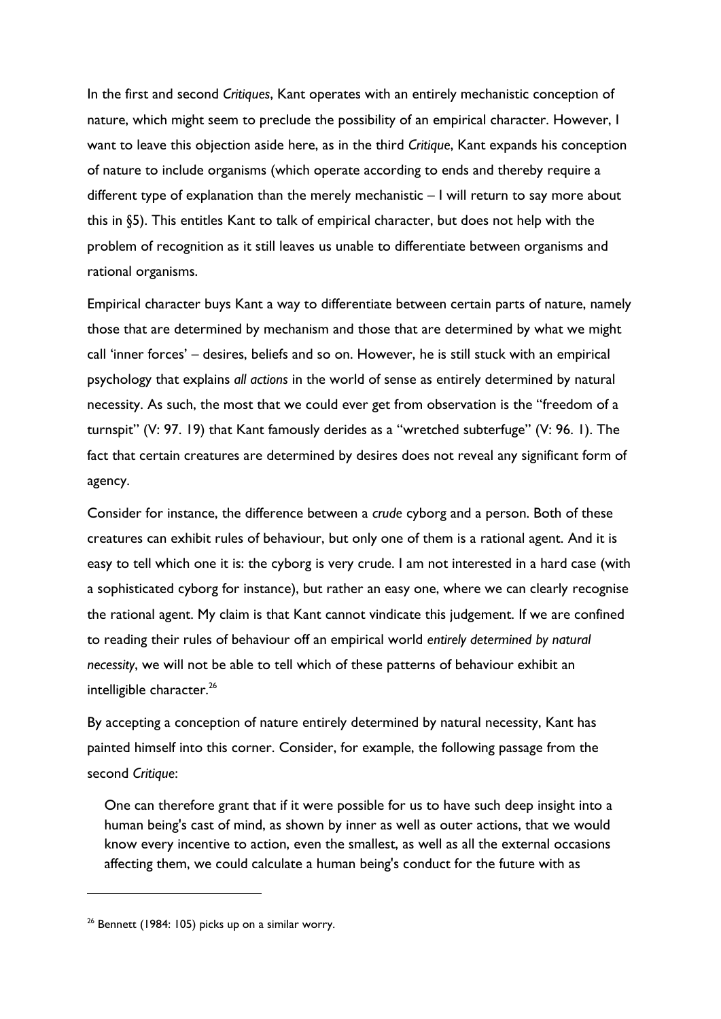In the first and second *Critiques*, Kant operates with an entirely mechanistic conception of nature, which might seem to preclude the possibility of an empirical character. However, I want to leave this objection aside here, as in the third *Critique*, Kant expands his conception of nature to include organisms (which operate according to ends and thereby require a different type of explanation than the merely mechanistic – I will return to say more about this in §5). This entitles Kant to talk of empirical character, but does not help with the problem of recognition as it still leaves us unable to differentiate between organisms and rational organisms.

Empirical character buys Kant a way to differentiate between certain parts of nature, namely those that are determined by mechanism and those that are determined by what we might call 'inner forces' – desires, beliefs and so on. However, he is still stuck with an empirical psychology that explains *all actions* in the world of sense as entirely determined by natural necessity. As such, the most that we could ever get from observation is the "freedom of a turnspit" (V: 97. 19) that Kant famously derides as a "wretched subterfuge" (V: 96. 1). The fact that certain creatures are determined by desires does not reveal any significant form of agency.

Consider for instance, the difference between a *crude* cyborg and a person. Both of these creatures can exhibit rules of behaviour, but only one of them is a rational agent. And it is easy to tell which one it is: the cyborg is very crude. I am not interested in a hard case (with a sophisticated cyborg for instance), but rather an easy one, where we can clearly recognise the rational agent. My claim is that Kant cannot vindicate this judgement. If we are confined to reading their rules of behaviour off an empirical world *entirely determined by natural necessity*, we will not be able to tell which of these patterns of behaviour exhibit an intelligible character.<sup>26</sup>

By accepting a conception of nature entirely determined by natural necessity, Kant has painted himself into this corner. Consider, for example, the following passage from the second *Critique*:

One can therefore grant that if it were possible for us to have such deep insight into a human being's cast of mind, as shown by inner as well as outer actions, that we would know every incentive to action, even the smallest, as well as all the external occasions affecting them, we could calculate a human being's conduct for the future with as

<sup>&</sup>lt;sup>26</sup> Bennett (1984: 105) picks up on a similar worry.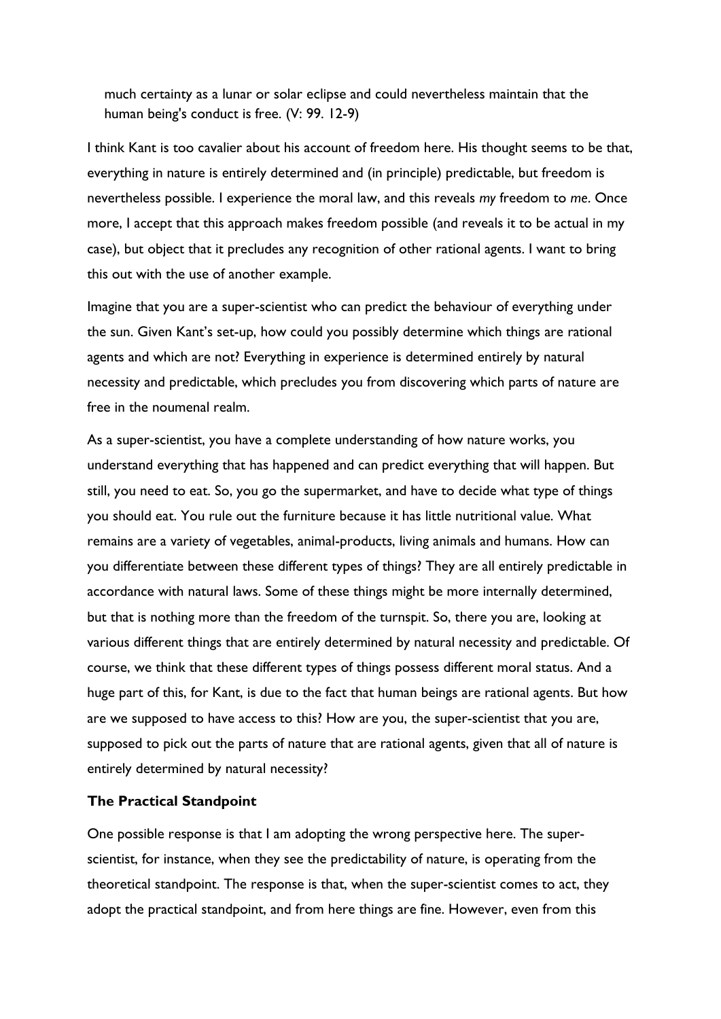much certainty as a lunar or solar eclipse and could nevertheless maintain that the human being's conduct is free. (V: 99. 12-9)

I think Kant is too cavalier about his account of freedom here. His thought seems to be that, everything in nature is entirely determined and (in principle) predictable, but freedom is nevertheless possible. I experience the moral law, and this reveals *my* freedom to *me*. Once more, I accept that this approach makes freedom possible (and reveals it to be actual in my case), but object that it precludes any recognition of other rational agents. I want to bring this out with the use of another example.

Imagine that you are a super-scientist who can predict the behaviour of everything under the sun. Given Kant's set-up, how could you possibly determine which things are rational agents and which are not? Everything in experience is determined entirely by natural necessity and predictable, which precludes you from discovering which parts of nature are free in the noumenal realm.

As a super-scientist, you have a complete understanding of how nature works, you understand everything that has happened and can predict everything that will happen. But still, you need to eat. So, you go the supermarket, and have to decide what type of things you should eat. You rule out the furniture because it has little nutritional value. What remains are a variety of vegetables, animal-products, living animals and humans. How can you differentiate between these different types of things? They are all entirely predictable in accordance with natural laws. Some of these things might be more internally determined, but that is nothing more than the freedom of the turnspit. So, there you are, looking at various different things that are entirely determined by natural necessity and predictable. Of course, we think that these different types of things possess different moral status. And a huge part of this, for Kant, is due to the fact that human beings are rational agents. But how are we supposed to have access to this? How are you, the super-scientist that you are, supposed to pick out the parts of nature that are rational agents, given that all of nature is entirely determined by natural necessity?

#### **The Practical Standpoint**

One possible response is that I am adopting the wrong perspective here. The superscientist, for instance, when they see the predictability of nature, is operating from the theoretical standpoint. The response is that, when the super-scientist comes to act, they adopt the practical standpoint, and from here things are fine. However, even from this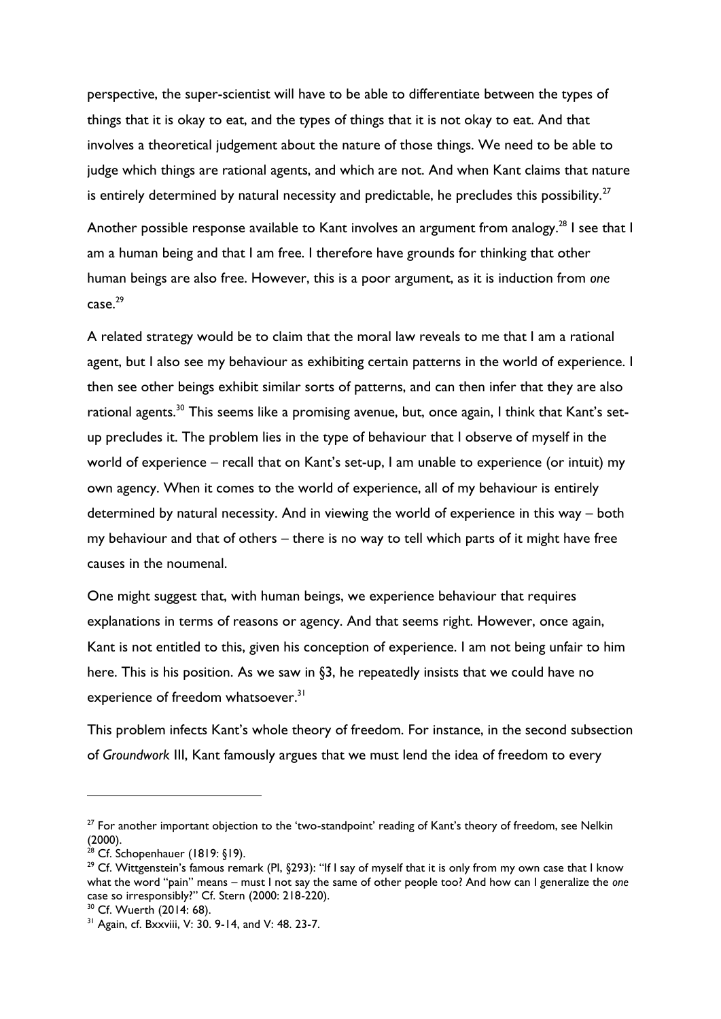perspective, the super-scientist will have to be able to differentiate between the types of things that it is okay to eat, and the types of things that it is not okay to eat. And that involves a theoretical judgement about the nature of those things. We need to be able to judge which things are rational agents, and which are not. And when Kant claims that nature is entirely determined by natural necessity and predictable, he precludes this possibility.<sup>27</sup>

Another possible response available to Kant involves an argument from analogy.<sup>28</sup> I see that I am a human being and that I am free. I therefore have grounds for thinking that other human beings are also free. However, this is a poor argument, as it is induction from *one* case.<sup>29</sup>

A related strategy would be to claim that the moral law reveals to me that I am a rational agent, but I also see my behaviour as exhibiting certain patterns in the world of experience. I then see other beings exhibit similar sorts of patterns, and can then infer that they are also rational agents.<sup>30</sup> This seems like a promising avenue, but, once again, I think that Kant's setup precludes it. The problem lies in the type of behaviour that I observe of myself in the world of experience – recall that on Kant's set-up, I am unable to experience (or intuit) my own agency. When it comes to the world of experience, all of my behaviour is entirely determined by natural necessity. And in viewing the world of experience in this way – both my behaviour and that of others – there is no way to tell which parts of it might have free causes in the noumenal.

One might suggest that, with human beings, we experience behaviour that requires explanations in terms of reasons or agency. And that seems right. However, once again, Kant is not entitled to this, given his conception of experience. I am not being unfair to him here. This is his position. As we saw in §3, he repeatedly insists that we could have no experience of freedom whatsoever.<sup>31</sup>

This problem infects Kant's whole theory of freedom. For instance, in the second subsection of *Groundwork* III, Kant famously argues that we must lend the idea of freedom to every

<sup>&</sup>lt;sup>27</sup> For another important objection to the 'two-standpoint' reading of Kant's theory of freedom, see Nelkin (2000).

 $28$  Cf. Schopenhauer (1819: §19).

<sup>&</sup>lt;sup>29</sup> Cf. Wittgenstein's famous remark (PI,  $\S293$ ): "If I say of myself that it is only from my own case that I know what the word "pain" means – must I not say the same of other people too? And how can I generalize the *one* case so irresponsibly?" Cf. Stern (2000: 218-220).

<sup>&</sup>lt;sup>30</sup> Cf. Wuerth (2014: 68).

 $31$  Again, cf. Bxxviii, V: 30. 9-14, and V: 48. 23-7.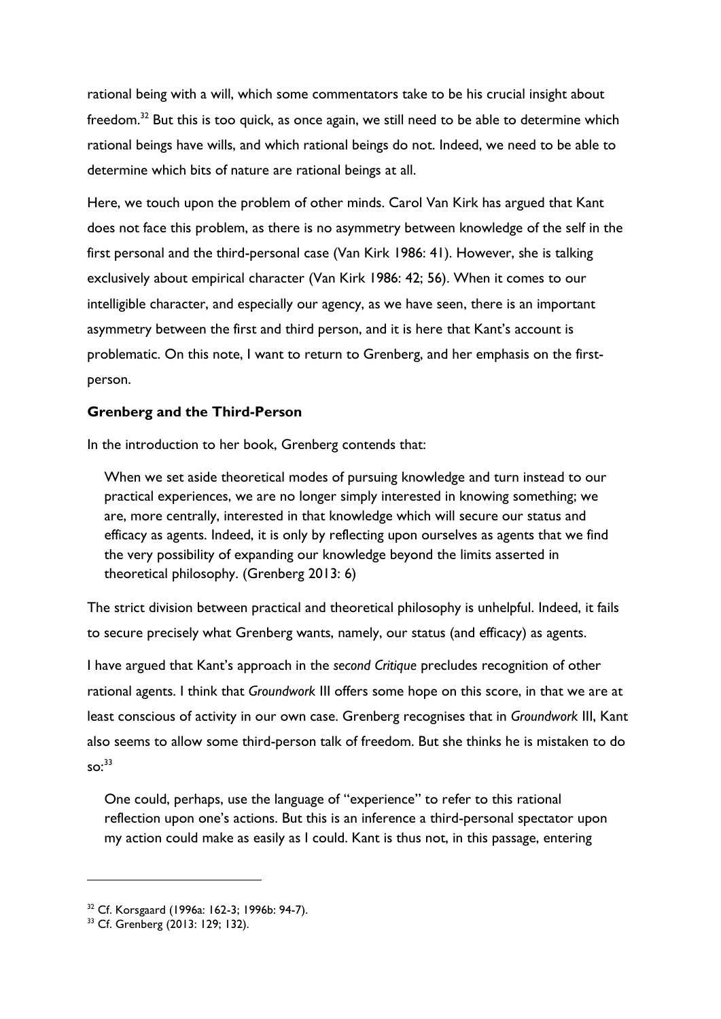rational being with a will, which some commentators take to be his crucial insight about freedom.<sup>32</sup> But this is too quick, as once again, we still need to be able to determine which rational beings have wills, and which rational beings do not. Indeed, we need to be able to determine which bits of nature are rational beings at all.

Here, we touch upon the problem of other minds. Carol Van Kirk has argued that Kant does not face this problem, as there is no asymmetry between knowledge of the self in the first personal and the third-personal case (Van Kirk 1986: 41). However, she is talking exclusively about empirical character (Van Kirk 1986: 42; 56). When it comes to our intelligible character, and especially our agency, as we have seen, there is an important asymmetry between the first and third person, and it is here that Kant's account is problematic. On this note, I want to return to Grenberg, and her emphasis on the firstperson.

# **Grenberg and the Third-Person**

In the introduction to her book, Grenberg contends that:

When we set aside theoretical modes of pursuing knowledge and turn instead to our practical experiences, we are no longer simply interested in knowing something; we are, more centrally, interested in that knowledge which will secure our status and efficacy as agents. Indeed, it is only by reflecting upon ourselves as agents that we find the very possibility of expanding our knowledge beyond the limits asserted in theoretical philosophy. (Grenberg 2013: 6)

The strict division between practical and theoretical philosophy is unhelpful. Indeed, it fails to secure precisely what Grenberg wants, namely, our status (and efficacy) as agents.

I have argued that Kant's approach in the *second Critique* precludes recognition of other rational agents. I think that *Groundwork* III offers some hope on this score, in that we are at least conscious of activity in our own case. Grenberg recognises that in *Groundwork* III, Kant also seems to allow some third-person talk of freedom. But she thinks he is mistaken to do so: 33

One could, perhaps, use the language of "experience" to refer to this rational reflection upon one's actions. But this is an inference a third-personal spectator upon my action could make as easily as I could. Kant is thus not, in this passage, entering

<sup>32</sup> Cf. Korsgaard (1996a: 162-3; 1996b: 94-7).

<sup>33</sup> Cf. Grenberg (2013: 129; 132).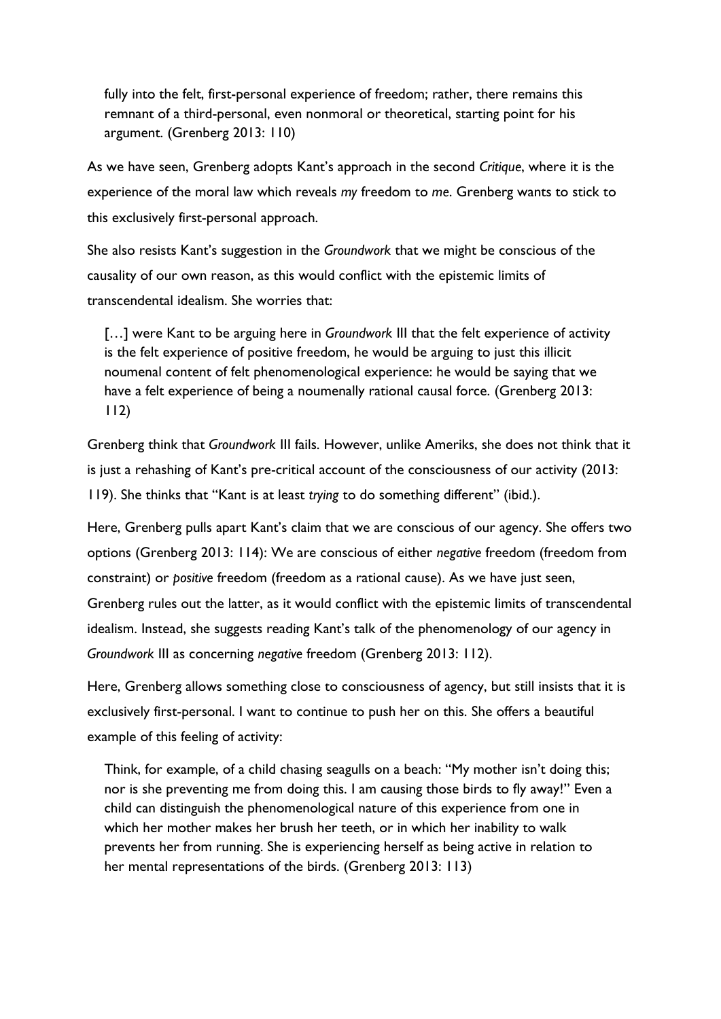fully into the felt, first-personal experience of freedom; rather, there remains this remnant of a third-personal, even nonmoral or theoretical, starting point for his argument. (Grenberg 2013: 110)

As we have seen, Grenberg adopts Kant's approach in the second *Critique*, where it is the experience of the moral law which reveals *my* freedom to *me*. Grenberg wants to stick to this exclusively first-personal approach.

She also resists Kant's suggestion in the *Groundwork* that we might be conscious of the causality of our own reason, as this would conflict with the epistemic limits of transcendental idealism. She worries that:

[...] were Kant to be arguing here in *Groundwork* III that the felt experience of activity is the felt experience of positive freedom, he would be arguing to just this illicit noumenal content of felt phenomenological experience: he would be saying that we have a felt experience of being a noumenally rational causal force. (Grenberg 2013: 112)

Grenberg think that *Groundwork* III fails. However, unlike Ameriks, she does not think that it is just a rehashing of Kant's pre-critical account of the consciousness of our activity (2013: 119). She thinks that "Kant is at least *trying* to do something different" (ibid.).

Here, Grenberg pulls apart Kant's claim that we are conscious of our agency. She offers two options (Grenberg 2013: 114): We are conscious of either *negative* freedom (freedom from constraint) or *positive* freedom (freedom as a rational cause). As we have just seen, Grenberg rules out the latter, as it would conflict with the epistemic limits of transcendental idealism. Instead, she suggests reading Kant's talk of the phenomenology of our agency in *Groundwork* III as concerning *negative* freedom (Grenberg 2013: 112).

Here, Grenberg allows something close to consciousness of agency, but still insists that it is exclusively first-personal. I want to continue to push her on this. She offers a beautiful example of this feeling of activity:

Think, for example, of a child chasing seagulls on a beach: "My mother isn't doing this; nor is she preventing me from doing this. I am causing those birds to fly away!" Even a child can distinguish the phenomenological nature of this experience from one in which her mother makes her brush her teeth, or in which her inability to walk prevents her from running. She is experiencing herself as being active in relation to her mental representations of the birds. (Grenberg 2013: 113)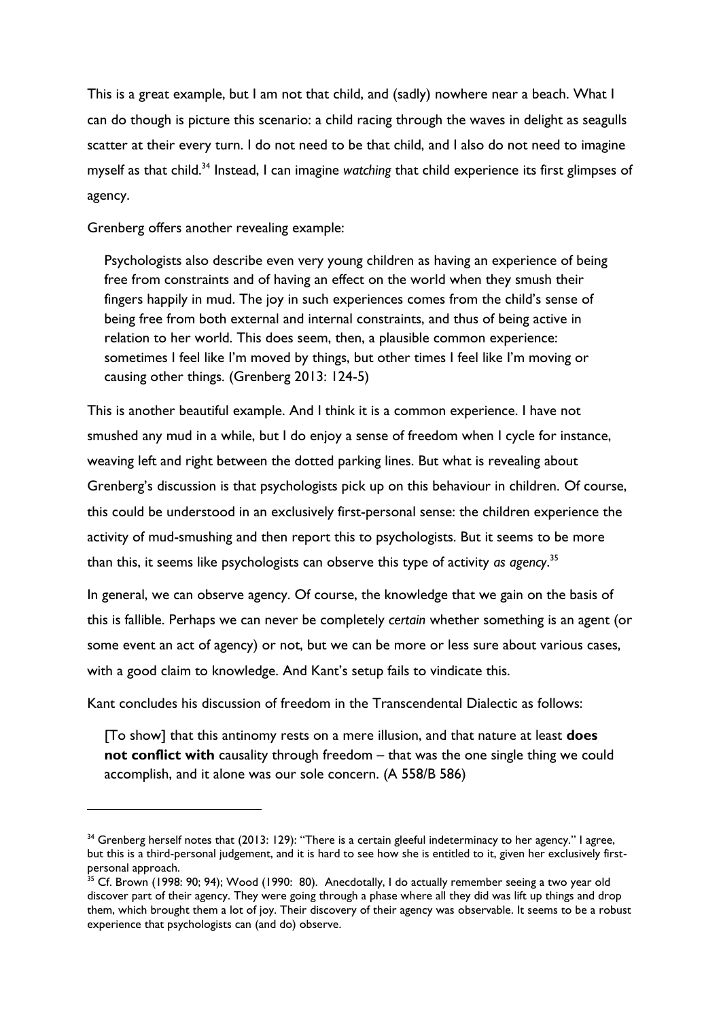This is a great example, but I am not that child, and (sadly) nowhere near a beach. What I can do though is picture this scenario: a child racing through the waves in delight as seagulls scatter at their every turn. I do not need to be that child, and I also do not need to imagine myself as that child.<sup>34</sup> Instead, I can imagine *watching* that child experience its first glimpses of agency.

Grenberg offers another revealing example:

<u>.</u>

Psychologists also describe even very young children as having an experience of being free from constraints and of having an effect on the world when they smush their fingers happily in mud. The joy in such experiences comes from the child's sense of being free from both external and internal constraints, and thus of being active in relation to her world. This does seem, then, a plausible common experience: sometimes I feel like I'm moved by things, but other times I feel like I'm moving or causing other things. (Grenberg 2013: 124-5)

This is another beautiful example. And I think it is a common experience. I have not smushed any mud in a while, but I do enjoy a sense of freedom when I cycle for instance, weaving left and right between the dotted parking lines. But what is revealing about Grenberg's discussion is that psychologists pick up on this behaviour in children. Of course, this could be understood in an exclusively first-personal sense: the children experience the activity of mud-smushing and then report this to psychologists. But it seems to be more than this, it seems like psychologists can observe this type of activity *as agency*. 35

In general, we can observe agency. Of course, the knowledge that we gain on the basis of this is fallible. Perhaps we can never be completely *certain* whether something is an agent (or some event an act of agency) or not, but we can be more or less sure about various cases, with a good claim to knowledge. And Kant's setup fails to vindicate this.

Kant concludes his discussion of freedom in the Transcendental Dialectic as follows:

[To show] that this antinomy rests on a mere illusion, and that nature at least **does not conflict with** causality through freedom – that was the one single thing we could accomplish, and it alone was our sole concern. (A 558/B 586)

<sup>&</sup>lt;sup>34</sup> Grenberg herself notes that (2013: 129): "There is a certain gleeful indeterminacy to her agency." I agree, but this is a third-personal judgement, and it is hard to see how she is entitled to it, given her exclusively firstpersonal approach.

 $\frac{35}{35}$  Cf. Brown (1998: 90; 94); Wood (1990: 80). Anecdotally, I do actually remember seeing a two year old discover part of their agency. They were going through a phase where all they did was lift up things and drop them, which brought them a lot of joy. Their discovery of their agency was observable. It seems to be a robust experience that psychologists can (and do) observe.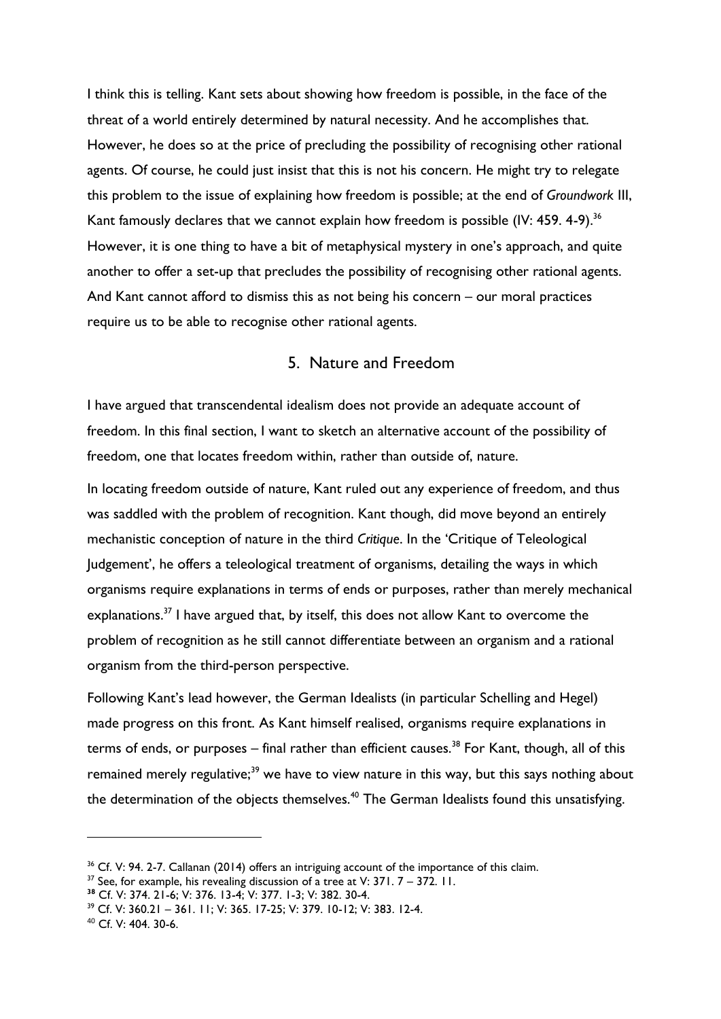I think this is telling. Kant sets about showing how freedom is possible, in the face of the threat of a world entirely determined by natural necessity. And he accomplishes that. However, he does so at the price of precluding the possibility of recognising other rational agents. Of course, he could just insist that this is not his concern. He might try to relegate this problem to the issue of explaining how freedom is possible; at the end of *Groundwork* III, Kant famously declares that we cannot explain how freedom is possible (IV: 459. 4-9).<sup>36</sup> However, it is one thing to have a bit of metaphysical mystery in one's approach, and quite another to offer a set-up that precludes the possibility of recognising other rational agents. And Kant cannot afford to dismiss this as not being his concern – our moral practices require us to be able to recognise other rational agents.

# 5. Nature and Freedom

I have argued that transcendental idealism does not provide an adequate account of freedom. In this final section, I want to sketch an alternative account of the possibility of freedom, one that locates freedom within, rather than outside of, nature.

In locating freedom outside of nature, Kant ruled out any experience of freedom, and thus was saddled with the problem of recognition. Kant though, did move beyond an entirely mechanistic conception of nature in the third *Critique*. In the 'Critique of Teleological Judgement', he offers a teleological treatment of organisms, detailing the ways in which organisms require explanations in terms of ends or purposes, rather than merely mechanical explanations.<sup>37</sup> I have argued that, by itself, this does not allow Kant to overcome the problem of recognition as he still cannot differentiate between an organism and a rational organism from the third-person perspective.

Following Kant's lead however, the German Idealists (in particular Schelling and Hegel) made progress on this front. As Kant himself realised, organisms require explanations in terms of ends, or purposes – final rather than efficient causes.<sup>38</sup> For Kant, though, all of this remained merely regulative;<sup>39</sup> we have to view nature in this way, but this says nothing about the determination of the objects themselves.<sup>40</sup> The German Idealists found this unsatisfying.

<sup>&</sup>lt;sup>36</sup> Cf. V: 94. 2-7. Callanan (2014) offers an intriguing account of the importance of this claim.

 $37$  See, for example, his revealing discussion of a tree at V: 371.  $7 - 372$ . 11.

**<sup>38</sup>** Cf. V: 374. 21-6; V: 376. 13-4; V: 377. 1-3; V: 382. 30-4.

 $39$  Cf. V: 360.21 – 361. 11: V: 365. 17-25; V: 379. 10-12; V: 383. 12-4.

<sup>40</sup> Cf. V: 404. 30-6.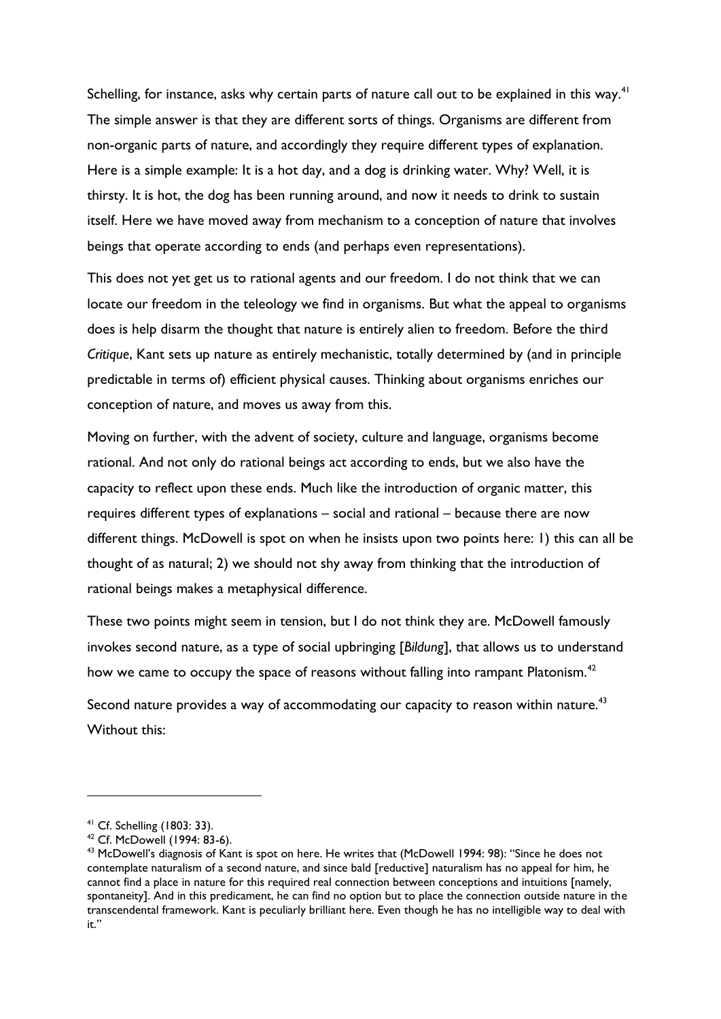Schelling, for instance, asks why certain parts of nature call out to be explained in this way.<sup>41</sup> The simple answer is that they are different sorts of things. Organisms are different from non-organic parts of nature, and accordingly they require different types of explanation. Here is a simple example: It is a hot day, and a dog is drinking water. Why? Well, it is thirsty. It is hot, the dog has been running around, and now it needs to drink to sustain itself. Here we have moved away from mechanism to a conception of nature that involves beings that operate according to ends (and perhaps even representations).

This does not yet get us to rational agents and our freedom. I do not think that we can locate our freedom in the teleology we find in organisms. But what the appeal to organisms does is help disarm the thought that nature is entirely alien to freedom. Before the third *Critique*, Kant sets up nature as entirely mechanistic, totally determined by (and in principle predictable in terms of) efficient physical causes. Thinking about organisms enriches our conception of nature, and moves us away from this.

Moving on further, with the advent of society, culture and language, organisms become rational. And not only do rational beings act according to ends, but we also have the capacity to reflect upon these ends. Much like the introduction of organic matter, this requires different types of explanations – social and rational – because there are now different things. McDowell is spot on when he insists upon two points here: 1) this can all be thought of as natural; 2) we should not shy away from thinking that the introduction of rational beings makes a metaphysical difference.

These two points might seem in tension, but I do not think they are. McDowell famously invokes second nature, as a type of social upbringing [*Bildung*], that allows us to understand how we came to occupy the space of reasons without falling into rampant Platonism.<sup>42</sup>

Second nature provides a way of accommodating our capacity to reason within nature.<sup>43</sup> Without this:

<sup>41</sup> Cf. Schelling (1803: 33).

<sup>42</sup> Cf. McDowell (1994: 83-6).

<sup>&</sup>lt;sup>43</sup> McDowell's diagnosis of Kant is spot on here. He writes that (McDowell 1994: 98): "Since he does not contemplate naturalism of a second nature, and since bald [reductive] naturalism has no appeal for him, he cannot find a place in nature for this required real connection between conceptions and intuitions [namely, spontaneity]. And in this predicament, he can find no option but to place the connection outside nature in the transcendental framework. Kant is peculiarly brilliant here. Even though he has no intelligible way to deal with it."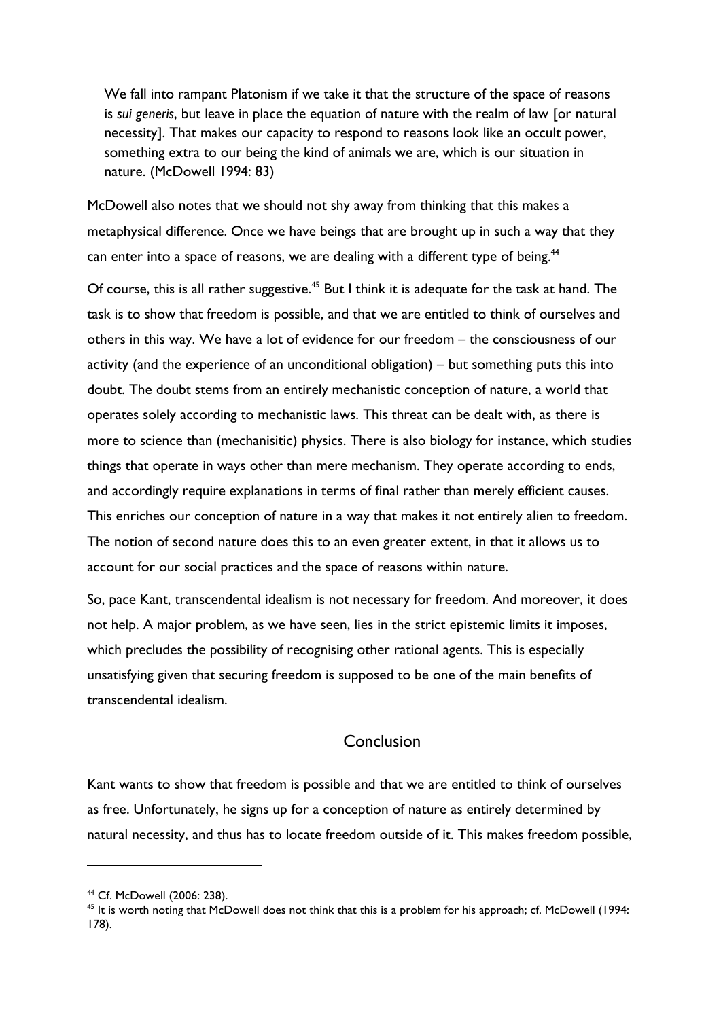We fall into rampant Platonism if we take it that the structure of the space of reasons is *sui generis*, but leave in place the equation of nature with the realm of law [or natural necessity]. That makes our capacity to respond to reasons look like an occult power, something extra to our being the kind of animals we are, which is our situation in nature. (McDowell 1994: 83)

McDowell also notes that we should not shy away from thinking that this makes a metaphysical difference. Once we have beings that are brought up in such a way that they can enter into a space of reasons, we are dealing with a different type of being.<sup>44</sup>

Of course, this is all rather suggestive.<sup>45</sup> But I think it is adequate for the task at hand. The task is to show that freedom is possible, and that we are entitled to think of ourselves and others in this way. We have a lot of evidence for our freedom – the consciousness of our activity (and the experience of an unconditional obligation) – but something puts this into doubt. The doubt stems from an entirely mechanistic conception of nature, a world that operates solely according to mechanistic laws. This threat can be dealt with, as there is more to science than (mechanisitic) physics. There is also biology for instance, which studies things that operate in ways other than mere mechanism. They operate according to ends, and accordingly require explanations in terms of final rather than merely efficient causes. This enriches our conception of nature in a way that makes it not entirely alien to freedom. The notion of second nature does this to an even greater extent, in that it allows us to account for our social practices and the space of reasons within nature.

So, pace Kant, transcendental idealism is not necessary for freedom. And moreover, it does not help. A major problem, as we have seen, lies in the strict epistemic limits it imposes, which precludes the possibility of recognising other rational agents. This is especially unsatisfying given that securing freedom is supposed to be one of the main benefits of transcendental idealism.

# Conclusion

Kant wants to show that freedom is possible and that we are entitled to think of ourselves as free. Unfortunately, he signs up for a conception of nature as entirely determined by natural necessity, and thus has to locate freedom outside of it. This makes freedom possible,

<sup>44</sup> Cf. McDowell (2006: 238).

<sup>45</sup> It is worth noting that McDowell does not think that this is a problem for his approach; cf. McDowell (1994: 178).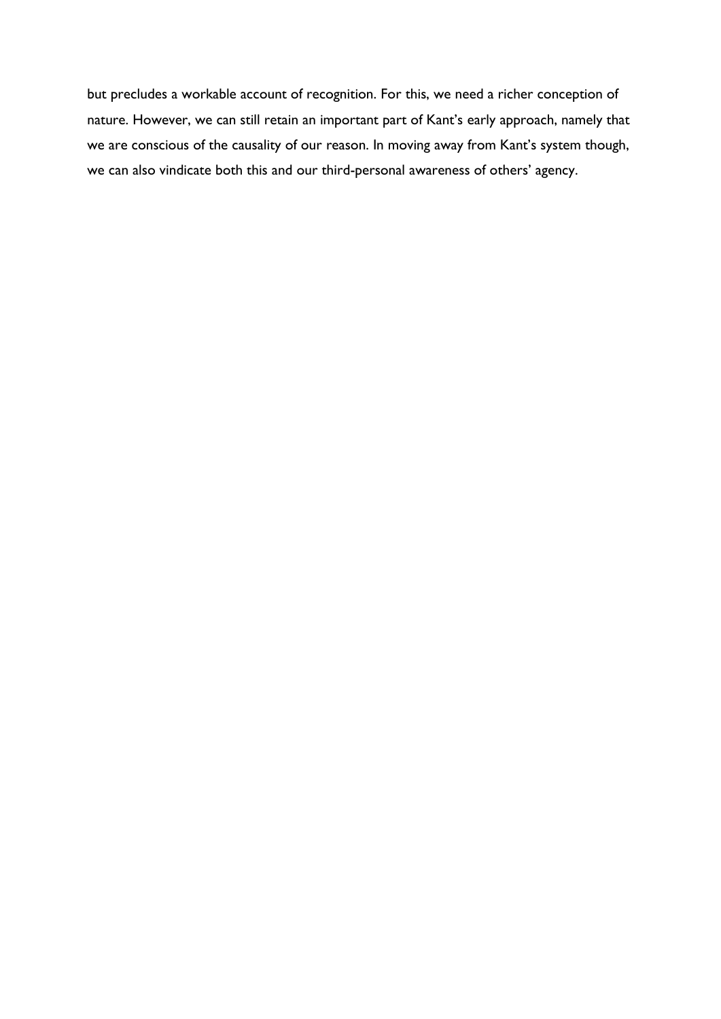but precludes a workable account of recognition. For this, we need a richer conception of nature. However, we can still retain an important part of Kant's early approach, namely that we are conscious of the causality of our reason. In moving away from Kant's system though, we can also vindicate both this and our third-personal awareness of others' agency.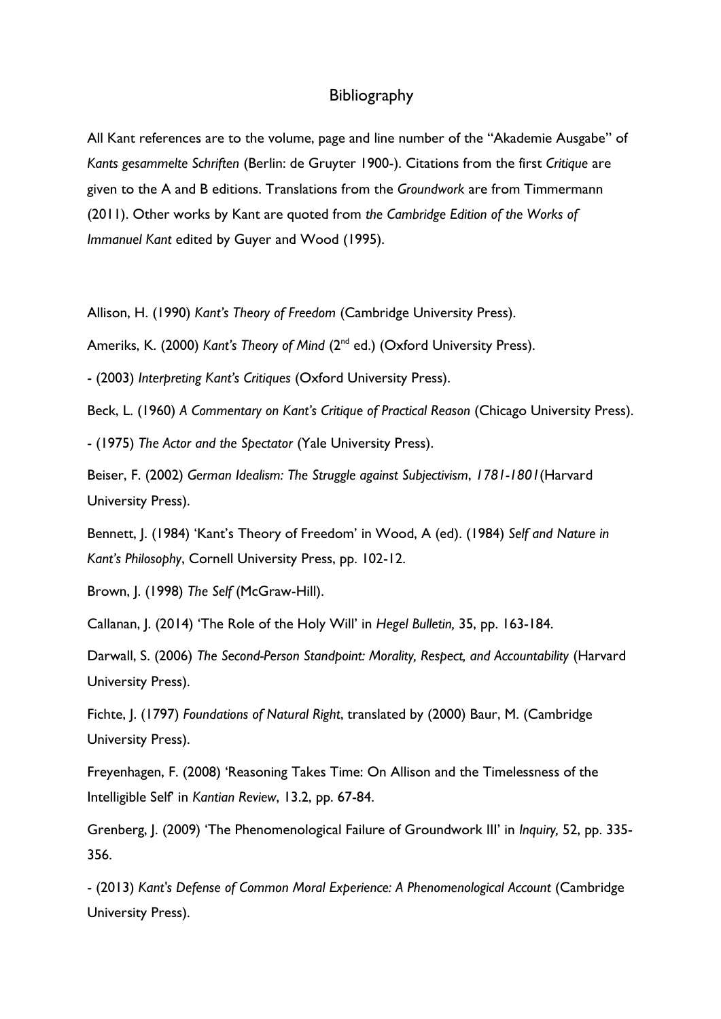## **Bibliography**

All Kant references are to the volume, page and line number of the "Akademie Ausgabe" of *Kants gesammelte Schriften* (Berlin: de Gruyter 1900-). Citations from the first *Critique* are given to the A and B editions. Translations from the *Groundwork* are from Timmermann (2011). Other works by Kant are quoted from *the Cambridge Edition of the Works of Immanuel Kant* edited by Guyer and Wood (1995).

Allison, H. (1990) *Kant's Theory of Freedom* (Cambridge University Press).

Ameriks, K. (2000) *Kant's Theory of Mind* (2<sup>nd</sup> ed.) (Oxford University Press).

- (2003) *Interpreting Kant's Critiques* (Oxford University Press).

Beck, L. (1960) *A Commentary on Kant's Critique of Practical Reason* (Chicago University Press).

- (1975) *The Actor and the Spectator* (Yale University Press).

Beiser, F. (2002) *German Idealism: The Struggle against Subjectivism*, *1781-1801*(Harvard University Press).

Bennett, J. (1984) 'Kant's Theory of Freedom' in Wood, A (ed). (1984) *Self and Nature in Kant's Philosophy*, Cornell University Press, pp. 102-12.

Brown, J. (1998) *The Self* (McGraw-Hill).

Callanan, J. (2014) 'The Role of the Holy Will' in *Hegel Bulletin,* 35, pp. 163-184.

Darwall, S. (2006) *The Second-Person Standpoint: Morality, Respect, and Accountability* (Harvard University Press).

Fichte, J. (1797) *Foundations of Natural Right*, translated by (2000) Baur, M. (Cambridge University Press).

Freyenhagen, F. (2008) 'Reasoning Takes Time: On Allison and the Timelessness of the Intelligible Self' in *Kantian Review*, 13.2, pp. 67-84.

Grenberg, J. (2009) 'The Phenomenological Failure of Groundwork III' in *Inquiry,* 52, pp. 335- 356.

- (2013) *Kant's Defense of Common Moral Experience: A Phenomenological Account* (Cambridge University Press).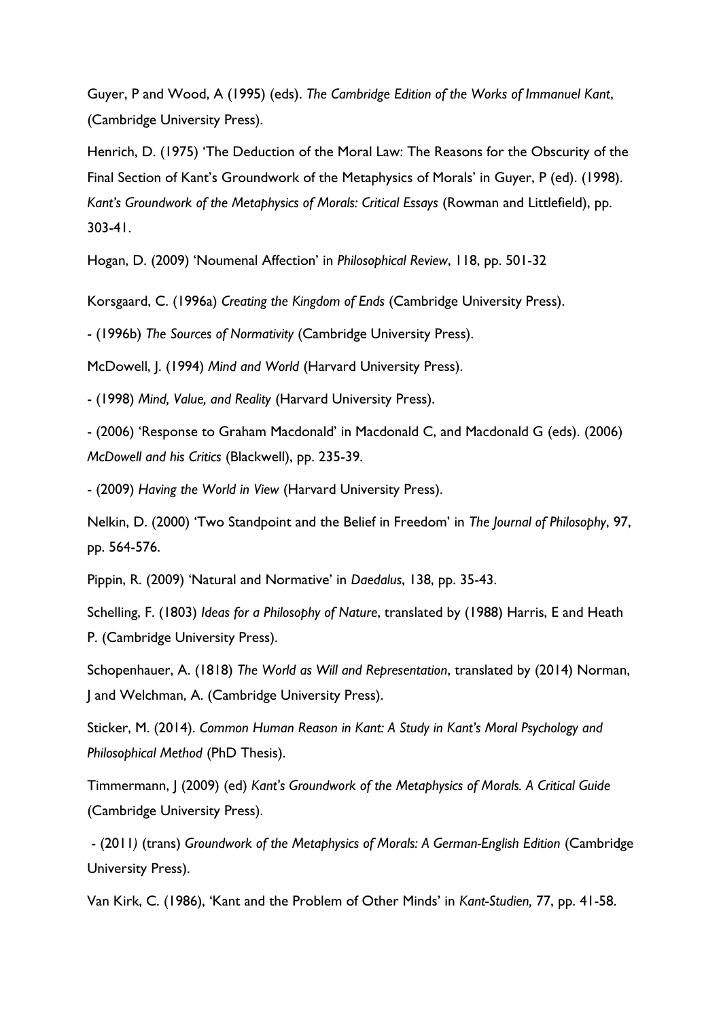Guyer, P and Wood, A (1995) (eds). *The Cambridge Edition of the Works of Immanuel Kant*, (Cambridge University Press).

Henrich, D. (1975) 'The Deduction of the Moral Law: The Reasons for the Obscurity of the Final Section of Kant's Groundwork of the Metaphysics of Morals' in Guyer, P (ed). (1998). *Kant's Groundwork of the Metaphysics of Morals: Critical Essays* (Rowman and Littlefield), pp. 303-41.

Hogan, D. (2009) 'Noumenal Affection' in *Philosophical Review*, 118, pp. 501-32

Korsgaard, C. (1996a) *Creating the Kingdom of Ends* (Cambridge University Press).

- (1996b) *The Sources of Normativity* (Cambridge University Press).

McDowell, J. (1994) *Mind and World* (Harvard University Press).

- (1998) *Mind, Value, and Reality* (Harvard University Press).

- (2006) 'Response to Graham Macdonald' in Macdonald C, and Macdonald G (eds). (2006) *McDowell and his Critics* (Blackwell), pp. 235-39.

- (2009) *Having the World in View* (Harvard University Press).

Nelkin, D. (2000) 'Two Standpoint and the Belief in Freedom' in *The Journal of Philosophy*, 97, pp. 564-576.

Pippin, R. (2009) 'Natural and Normative' in *Daedalus*, 138, pp. 35-43.

Schelling, F. (1803) *Ideas for a Philosophy of Nature*, translated by (1988) Harris, E and Heath P. (Cambridge University Press).

Schopenhauer, A. (1818) *The World as Will and Representation*, translated by (2014) Norman, J and Welchman, A. (Cambridge University Press).

Sticker, M. (2014). *Common Human Reason in Kant: A Study in Kant's Moral Psychology and Philosophical Method* (PhD Thesis).

Timmermann, J (2009) (ed) *Kant's Groundwork of the Metaphysics of Morals. A Critical Guide* (Cambridge University Press).

- (2011*)* (trans) *Groundwork of the Metaphysics of Morals: A German-English Edition* (Cambridge University Press).

Van Kirk, C. (1986), 'Kant and the Problem of Other Minds' in *[Kant-Studien,](http://philpapers.org/asearch.pl?pubn=Kant-Studien)* 77, pp. 41-58.